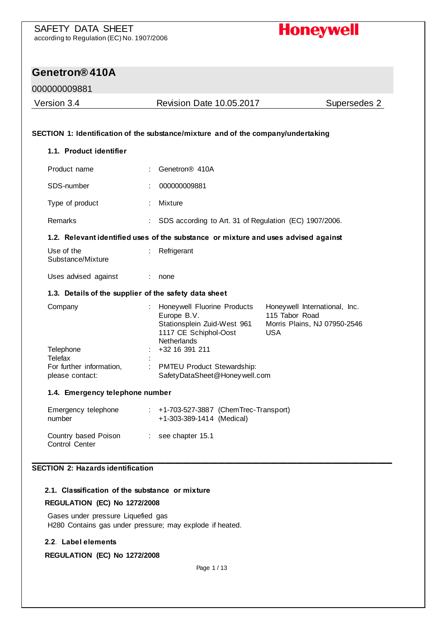

#### 000000009881

| Version 3.4                                 | <b>Revision Date 10.05.2017</b>                                                                                                                   | Supersedes 2                                                  |
|---------------------------------------------|---------------------------------------------------------------------------------------------------------------------------------------------------|---------------------------------------------------------------|
|                                             | SECTION 1: Identification of the substance/mixture and of the company/undertaking                                                                 |                                                               |
| 1.1. Product identifier                     |                                                                                                                                                   |                                                               |
| Product name                                | Genetron <sup>®</sup> 410A                                                                                                                        |                                                               |
| SDS-number                                  | 000000009881                                                                                                                                      |                                                               |
| Type of product                             | Mixture                                                                                                                                           |                                                               |
| Remarks                                     | SDS according to Art. 31 of Regulation (EC) 1907/2006.                                                                                            |                                                               |
|                                             | 1.2. Relevant identified uses of the substance or mixture and uses advised against                                                                |                                                               |
| Use of the<br>Substance/Mixture             | Refrigerant                                                                                                                                       |                                                               |
| Uses advised against                        | none                                                                                                                                              |                                                               |
|                                             | 1.3. Details of the supplier of the safety data sheet                                                                                             |                                                               |
| Company                                     | Honeywell Fluorine Products<br>Europe B.V.<br>115 Tabor Road<br>Stationsplein Zuid-West 961<br><b>USA</b><br>1117 CE Schiphol-Oost<br>Netherlands | Honeywell International, Inc.<br>Morris Plains, NJ 07950-2546 |
| Telephone<br>Telefax                        | +32 16 391 211                                                                                                                                    |                                                               |
| For further information,<br>please contact: | ÷<br>PMTEU Product Stewardship:<br>SafetyDataSheet@Honeywell.com                                                                                  |                                                               |
| 1.4. Emergency telephone number             |                                                                                                                                                   |                                                               |
| Emergency telephone<br>number               | +1-703-527-3887 (ChemTrec-Transport)<br>+1-303-389-1414 (Medical)                                                                                 |                                                               |
| Country based Poison<br>Control Center      | see chapter 15.1<br>÷                                                                                                                             |                                                               |

### **2.1. Classification of the substance or mixture**

#### **REGULATION (EC) No 1272/2008**

Gases under pressure Liquefied gas H280 Contains gas under pressure; may explode if heated.

#### **2.2. Label elements**

**REGULATION (EC) No 1272/2008**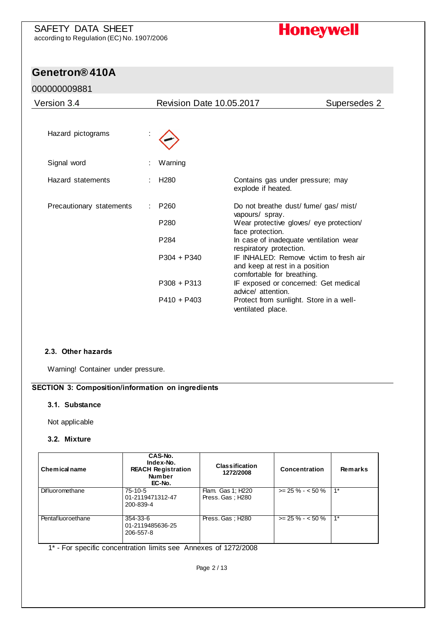# **Genetron® 410A**

#### 000000009881

| Version 3.4              | <b>Revision Date 10.05.2017</b>      |                                                                                                        | Supersedes 2 |
|--------------------------|--------------------------------------|--------------------------------------------------------------------------------------------------------|--------------|
| Hazard pictograms        |                                      |                                                                                                        |              |
| Signal word              | Warning                              |                                                                                                        |              |
| Hazard statements        | H <sub>280</sub>                     | Contains gas under pressure; may<br>explode if heated.                                                 |              |
| Precautionary statements | P <sub>260</sub><br>P <sub>280</sub> | Do not breathe dust/ fume/ gas/ mist/<br>vapours/ spray.<br>Wear protective gloves/ eye protection/    |              |
|                          | P <sub>284</sub>                     | face protection.<br>In case of inadequate ventilation wear<br>respiratory protection.                  |              |
|                          | $P304 + P340$                        | IF INHALED: Remove victim to fresh air<br>and keep at rest in a position<br>comfortable for breathing. |              |
|                          | $P308 + P313$                        | IF exposed or concerned: Get medical<br>advice/ attention.                                             |              |
|                          | $P410 + P403$                        | Protect from sunlight. Store in a well-<br>ventilated place.                                           |              |

#### **2.3. Other hazards**

Warning! Container under pressure.

#### **SECTION 3: Composition/information on ingredients**

#### **3.1. Substance**

Not applicable

#### **3.2. Mixture**

| Chemical name          | CAS-No.<br>Index-No.<br><b>REACH Registration</b><br><b>Number</b><br>EC-No. | <b>Classification</b><br>1272/2008    | Concentration      | Remarks |
|------------------------|------------------------------------------------------------------------------|---------------------------------------|--------------------|---------|
| <b>Difluoromethane</b> | $75-10-5$<br>01-2119471312-47<br>200-839-4                                   | Flam. Gas 1: H220<br>Press. Gas: H280 | $>= 25 \% - 50 \%$ | $1*$    |
| Pentafluoroethane      | 354-33-6<br>01-2119485636-25<br>206-557-8                                    | Press. Gas : H280                     | $>= 25 \% - 50 \%$ | $1*$    |

1\* - For specific concentration limits see Annexes of 1272/2008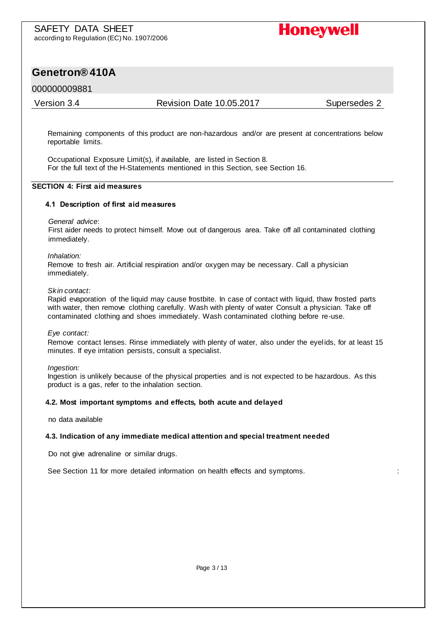

#### 000000009881

Version 3.4 Revision Date 10.05.2017 Supersedes 2

Remaining components of this product are non-hazardous and/or are present at concentrations below reportable limits.

Occupational Exposure Limit(s), if available, are listed in Section 8. For the full text of the H-Statements mentioned in this Section, see Section 16.

#### **SECTION 4: First aid measures**

#### **4.1 Description of first aid measures**

#### *General advice*:

First aider needs to protect himself. Move out of dangerous area. Take off all contaminated clothing immediately.

#### *Inhalation:*

Remove to fresh air. Artificial respiration and/or oxygen may be necessary. Call a physician immediately.

#### *Skin contact:*

Rapid evaporation of the liquid may cause frostbite. In case of contact with liquid, thaw frosted parts with water, then remove clothing carefully. Wash with plenty of water Consult a physician. Take off contaminated clothing and shoes immediately. Wash contaminated clothing before re-use.

#### *Eye contact:*

Remove contact lenses. Rinse immediately with plenty of water, also under the eyelids, for at least 15 minutes. If eye irritation persists, consult a specialist.

#### *Ingestion:*

Ingestion is unlikely because of the physical properties and is not expected to be hazardous. As this product is a gas, refer to the inhalation section.

#### **4.2. Most important symptoms and effects, both acute and delayed**

no data available

#### **4.3. Indication of any immediate medical attention and special treatment needed**

Do not give adrenaline or similar drugs.

See Section 11 for more detailed information on health effects and symptoms. :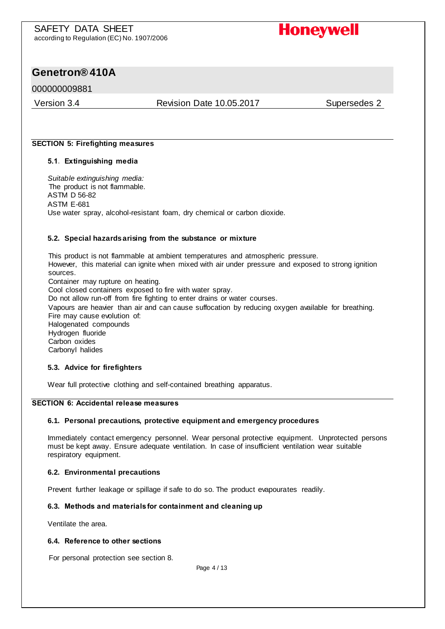### **Genetron® 410A**

#### 000000009881

Version 3.4 Revision Date 10.05.2017 Supersedes 2

#### **SECTION 5: Firefighting measures**

#### **5.1. Extinguishing media**

*Suitable extinguishing media:*  The product is not flammable. ASTM D 56-82 ASTM E-681 Use water spray, alcohol-resistant foam, dry chemical or carbon dioxide.

#### **5.2. Special hazards arising from the substance or mixture**

This product is not flammable at ambient temperatures and atmospheric pressure. However, this material can ignite when mixed with air under pressure and exposed to strong ignition sources. Container may rupture on heating. Cool closed containers exposed to fire with water spray. Do not allow run-off from fire fighting to enter drains or water courses. Vapours are heavier than air and can cause suffocation by reducing oxygen available for breathing. Fire may cause evolution of: Halogenated compounds Hydrogen fluoride

Carbon oxides Carbonyl halides

#### **5.3. Advice for firefighters**

Wear full protective clothing and self-contained breathing apparatus.

#### **SECTION 6: Accidental release measures**

#### **6.1. Personal precautions, protective equipment and emergency procedures**

Immediately contact emergency personnel. Wear personal protective equipment. Unprotected persons must be kept away. Ensure adequate ventilation. In case of insufficient ventilation wear suitable respiratory equipment.

#### **6.2. Environmental precautions**

Prevent further leakage or spillage if safe to do so. The product evapourates readily.

#### **6.3. Methods and materials for containment and cleaning up**

Ventilate the area.

#### **6.4. Reference to other sections**

For personal protection see section 8.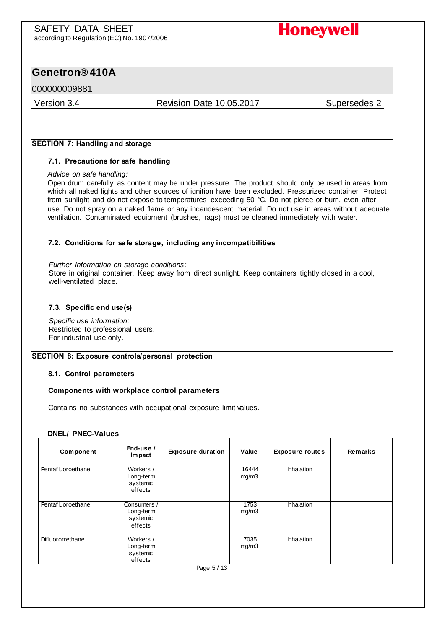### **Genetron® 410A**

#### 000000009881

#### Version 3.4 Revision Date 10.05.2017 Supersedes 2

#### **SECTION 7: Handling and storage**

#### **7.1. Precautions for safe handling**

#### *Advice on safe handling:*

Open drum carefully as content may be under pressure. The product should only be used in areas from which all naked lights and other sources of ignition have been excluded. Pressurized container. Protect from sunlight and do not expose to temperatures exceeding 50 °C. Do not pierce or burn, even after use. Do not spray on a naked flame or any incandescent material. Do not use in areas without adequate ventilation. Contaminated equipment (brushes, rags) must be cleaned immediately with water.

#### **7.2. Conditions for safe storage, including any incompatibilities**

*Further information on storage conditions:*  Store in original container. Keep away from direct sunlight. Keep containers tightly closed in a cool, well-ventilated place.

#### **7.3. Specific end use(s)**

*Specific use information:*  Restricted to professional users. For industrial use only.

#### **SECTION 8: Exposure controls/personal protection**

#### **8.1. Control parameters**

#### **Components with workplace control parameters**

Contains no substances with occupational exposure limit values.

#### **DNEL/ PNEC-Values**

| Component              | End-use /<br><b>Impact</b>                      | <b>Exposure duration</b> | Value          | <b>Exposure routes</b> | Remarks |
|------------------------|-------------------------------------------------|--------------------------|----------------|------------------------|---------|
| Pentafluoroethane      | Workers /<br>Long-term<br>systemic<br>effects   |                          | 16444<br>mg/m3 | <b>Inhalation</b>      |         |
| Pentafluoroethane      | Consumers /<br>Long-term<br>systemic<br>effects |                          | 1753<br>mg/m3  | <b>Inhalation</b>      |         |
| <b>Difluoromethane</b> | Workers /<br>Long-term<br>systemic<br>effects   |                          | 7035<br>mg/m3  | <b>Inhalation</b>      |         |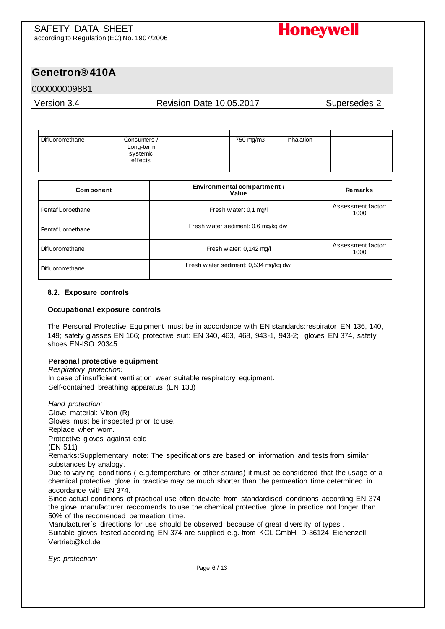

#### 000000009881

#### Version 3.4 Revision Date 10.05.2017 Supersedes 2

| Difluoromethane | Consumers /           | 750 mg/m3 | <b>Inhalation</b> |  |
|-----------------|-----------------------|-----------|-------------------|--|
|                 | Long-term<br>systemic |           |                   |  |
|                 | effects               |           |                   |  |

| Component         | Environmental compartment /<br>Value  | Remarks                    |
|-------------------|---------------------------------------|----------------------------|
| Pentafluoroethane | Fresh w ater: 0,1 mg/l                | Assessment factor:<br>1000 |
| Pentafluoroethane | Fresh w ater sediment: 0,6 mg/kg dw   |                            |
| Difluoromethane   | Fresh w ater: 0,142 mg/l              | Assessment factor:<br>1000 |
| Difluoromethane   | Fresh w ater sediment: 0,534 mg/kg dw |                            |

#### **8.2. Exposure controls**

#### **Occupational exposure controls**

The Personal Protective Equipment must be in accordance with EN standards:respirator EN 136, 140, 149; safety glasses EN 166; protective suit: EN 340, 463, 468, 943-1, 943-2; gloves EN 374, safety shoes EN-ISO 20345.

#### **Personal protective equipment**

*Respiratory protection:*  In case of insufficient ventilation wear suitable respiratory equipment. Self-contained breathing apparatus (EN 133)

*Hand protection:*  Glove material: Viton (R) Gloves must be inspected prior to use. Replace when worn.

Protective gloves against cold

(EN 511)

Remarks:Supplementary note: The specifications are based on information and tests from similar substances by analogy.

Due to varying conditions ( e.g.temperature or other strains) it must be considered that the usage of a chemical protective glove in practice may be much shorter than the permeation time determined in accordance with EN 374.

Since actual conditions of practical use often deviate from standardised conditions according EN 374 the glove manufacturer reccomends to use the chemical protective glove in practice not longer than 50% of the recomended permeation time.

Manufacturer´s directions for use should be observed because of great diversity of types . Suitable gloves tested according EN 374 are supplied e.g. from KCL GmbH, D-36124 Eichenzell, Vertrieb@kcl.de

*Eye protection:*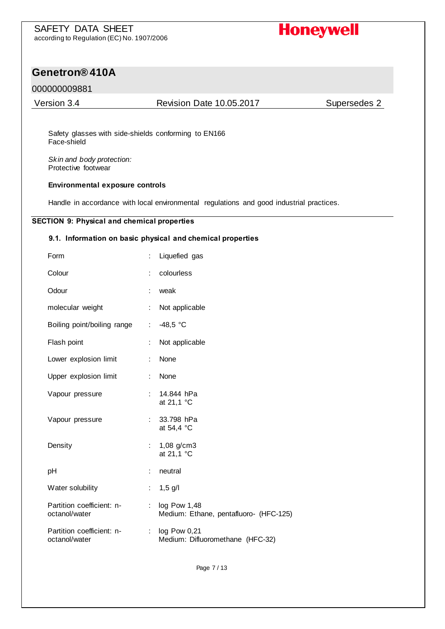# **Genetron® 410A**

#### 000000009881

Version 3.4 Revision Date 10.05.2017 Supersedes 2

Safety glasses with side-shields conforming to EN166 Face-shield

*Skin and body protection:*  Protective footwear

#### **Environmental exposure controls**

Handle in accordance with local environmental regulations and good industrial practices.

#### **SECTION 9: Physical and chemical properties**

#### **9.1. Information on basic physical and chemical properties**

| Form                                       | ÷  | Liquefied gas                                          |
|--------------------------------------------|----|--------------------------------------------------------|
| Colour                                     |    | colourless                                             |
| Odour                                      | t  | weak                                                   |
| molecular weight                           | ÷. | Not applicable                                         |
| Boiling point/boiling range                | ÷. | $-48,5 °C$                                             |
| Flash point                                | ÷  | Not applicable                                         |
| Lower explosion limit                      | ÷  | None                                                   |
| Upper explosion limit                      | t. | None                                                   |
| Vapour pressure                            | t. | 14.844 hPa<br>at 21,1 °C                               |
| Vapour pressure                            | ÷. | 33.798 hPa<br>at 54,4 °C                               |
| Density                                    | ÷  | $1,08$ g/cm3<br>at 21,1 °C                             |
| pH                                         | ÷  | neutral                                                |
| Water solubility                           | t. | $1,5$ g/l                                              |
| Partition coefficient: n-<br>octanol/water | ÷. | log Pow 1,48<br>Medium: Ethane, pentafluoro- (HFC-125) |
| Partition coefficient: n-<br>octanol/water | ÷. | log Pow 0,21<br>Medium: Difluoromethane (HFC-32)       |
|                                            |    |                                                        |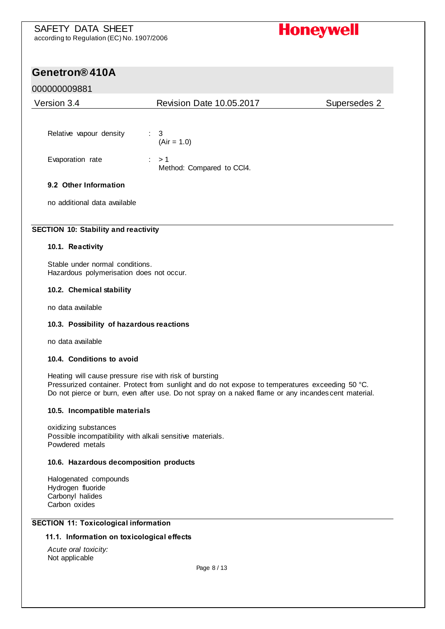# **Genetron® 410A**

#### 000000009881

| Version 3.4                  | <b>Revision Date 10.05.2017</b>               | Supersedes 2 |
|------------------------------|-----------------------------------------------|--------------|
| Relative vapour density      | $\therefore$ 3<br>$(Air = 1.0)$               |              |
| Evaporation rate             | $\therefore$ > 1<br>Method: Compared to CCI4. |              |
| 9.2 Other Information        |                                               |              |
| no additional data available |                                               |              |

#### **SECTION 10: Stability and reactivity**

#### **10.1. Reactivity**

Stable under normal conditions. Hazardous polymerisation does not occur.

#### **10.2. Chemical stability**

no data available

#### **10.3. Possibility of hazardous reactions**

no data available

#### **10.4. Conditions to avoid**

Heating will cause pressure rise with risk of bursting Pressurized container. Protect from sunlight and do not expose to temperatures exceeding 50 °C. Do not pierce or burn, even after use. Do not spray on a naked flame or any incandes cent material.

#### **10.5. Incompatible materials**

oxidizing substances Possible incompatibility with alkali sensitive materials. Powdered metals

#### **10.6. Hazardous decomposition products**

Halogenated compounds Hydrogen fluoride Carbonyl halides Carbon oxides

#### **SECTION 11: Toxicological information**

#### **11.1. Information on toxicological effects**

*Acute oral toxicity:*  Not applicable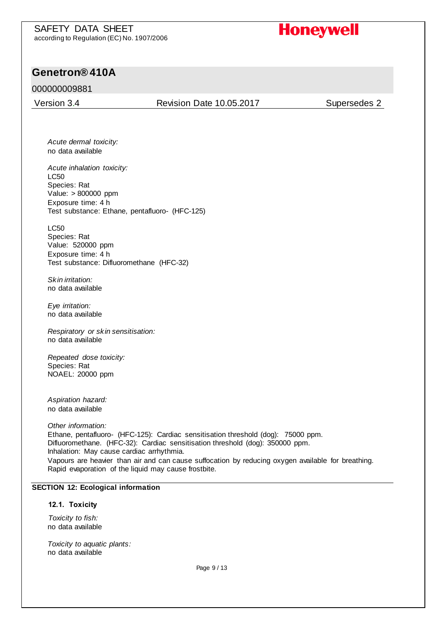### **Genetron® 410A**

#### 000000009881

Version 3.4 Revision Date 10.05.2017 Supersedes 2

*Acute dermal toxicity:*  no data available

*Acute inhalation toxicity:*  LC50 Species: Rat Value: > 800000 ppm Exposure time: 4 h Test substance: Ethane, pentafluoro- (HFC-125)

LC50 Species: Rat Value: 520000 ppm Exposure time: 4 h Test substance: Difluoromethane (HFC-32)

*Skin irritation:*  no data available

*Eye irritation:*  no data available

*Respiratory or skin sensitisation:*  no data available

*Repeated dose toxicity:*  Species: Rat NOAEL: 20000 ppm

*Aspiration hazard:* no data available

*Other information:*  Ethane, pentafluoro- (HFC-125): Cardiac sensitisation threshold (dog): 75000 ppm. Difluoromethane. (HFC-32): Cardiac sensitisation threshold (dog): 350000 ppm. Inhalation: May cause cardiac arrhythmia. Vapours are heavier than air and can cause suffocation by reducing oxygen available for breathing. Rapid evaporation of the liquid may cause frostbite.

#### **SECTION 12: Ecological information**

#### **12.1. Toxicity**

*Toxicity to fish:*  no data available

*Toxicity to aquatic plants:*  no data available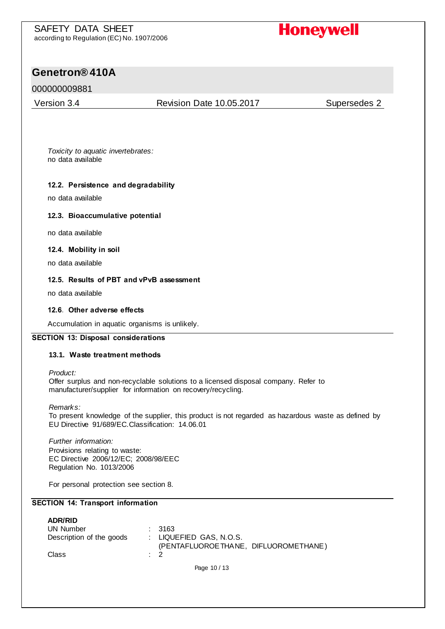# **Genetron® 410A**

#### 000000009881

Version 3.4 Revision Date 10.05.2017 Supersedes 2

*Toxicity to aquatic invertebrates:*  no data available

#### **12.2. Persistence and degradability**

no data available

#### **12.3. Bioaccumulative potential**

no data available

#### **12.4. Mobility in soil**

no data available

#### **12.5. Results of PBT and vPvB assessment**

no data available

#### **12.6. Other adverse effects**

Accumulation in aquatic organisms is unlikely.

#### **SECTION 13: Disposal considerations**

#### **13.1. Waste treatment methods**

*Product:* 

Offer surplus and non-recyclable solutions to a licensed disposal company. Refer to manufacturer/supplier for information on recovery/recycling.

*Remarks:* 

To present knowledge of the supplier, this product is not regarded as hazardous waste as defined by EU Directive 91/689/EC.Classification: 14.06.01

*Further information:*  Provisions relating to waste: EC Directive 2006/12/EC; 2008/98/EEC Regulation No. 1013/2006

For personal protection see section 8.

#### **SECTION 14: Transport information**

| <b>ADR/RID</b><br>UN Number<br>Description of the goods | : 3163<br>: LIQUEFIED GAS, N.O.S.<br>(PENTAFLUOROETHANE, DIFLUOROMETHANE) |
|---------------------------------------------------------|---------------------------------------------------------------------------|
| Class                                                   | $\therefore$ 2                                                            |
|                                                         | Page 10/13                                                                |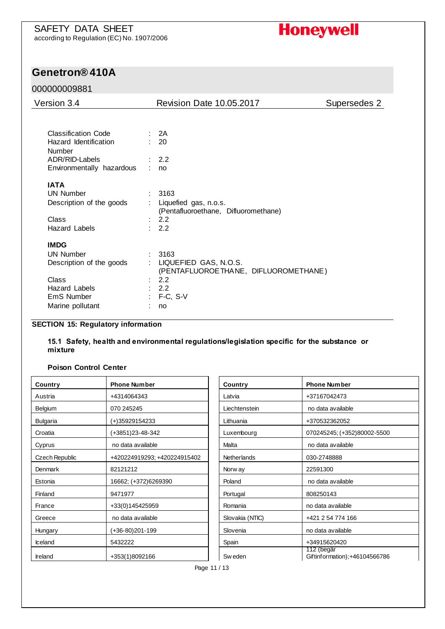

#### 000000009881

l,

| Version 3.4                            | Revision Date 10.05.2017                                           | Supersedes 2 |
|----------------------------------------|--------------------------------------------------------------------|--------------|
|                                        |                                                                    |              |
| <b>Classification Code</b>             | : 2A                                                               |              |
| Hazard Identification<br><b>Number</b> | : 20                                                               |              |
| ADR/RID-Labels                         | : 2.2                                                              |              |
| Environmentally hazardous              | ÷.<br>no                                                           |              |
| <b>IATA</b>                            |                                                                    |              |
| <b>UN Number</b>                       | 3163                                                               |              |
| Description of the goods               | Liquefied gas, n.o.s.<br>(Pentafluoroethane, Difluoromethane)      |              |
| Class                                  | 2.2                                                                |              |
| Hazard Labels                          | 2.2<br>$\epsilon$                                                  |              |
| <b>IMDG</b>                            |                                                                    |              |
| <b>UN Number</b>                       | 3163                                                               |              |
| Description of the goods               | LIQUEFIED GAS, N.O.S.<br>÷<br>(PENTAFLUOROETHANE, DIFLUOROMETHANE) |              |
| Class                                  | $\therefore$ 2.2                                                   |              |
| <b>Hazard Labels</b>                   | : 2.2                                                              |              |
| EmS Number                             | $:$ F-C, S-V                                                       |              |
| Marine pollutant                       | no                                                                 |              |

#### **SECTION 15: Regulatory information**

**15.1 Safety, health and environmental regulations/legislation specific for the substance or mixture**

#### **Poison Control Center**

| Country        | <b>Phone Number</b>          | Country            | <b>Phone Number</b>                         |
|----------------|------------------------------|--------------------|---------------------------------------------|
| Austria        | +4314064343                  | Latvia             | +37167042473                                |
| Belgium        | 070 245245                   | Liechtenstein      | no data available                           |
| Bulgaria       | (+)35929154233               | Lithuania          | +370532362052                               |
| Croatia        | (+3851)23-48-342             | Luxembourg         | 070245245; (+352)80002-5500                 |
| Cyprus         | no data available            | Malta              | no data available                           |
| Czech Republic | +420224919293; +420224915402 | <b>Netherlands</b> | 030-2748888                                 |
| Denmark        | 82121212                     | Norw ay            | 22591300                                    |
| Estonia        | 16662; (+372)6269390         | Poland             | no data available                           |
| Finland        | 9471977                      | Portugal           | 808250143                                   |
| France         | +33(0)145425959              | Romania            | no data available                           |
| Greece         | no data available            | Slovakia (NTIC)    | +421 2 54 774 166                           |
| Hungary        | (+36-80)201-199              | Slovenia           | no data available                           |
| Iceland        | 5432222                      | Spain              | +34915620420                                |
| <b>Ireland</b> | +353(1)8092166               | Sw eden            | 112 (begär<br>Giftinformation);+46104566786 |

| Country            | <b>Phone Number</b>                         |
|--------------------|---------------------------------------------|
| I atvia            | +37167042473                                |
| Liechtenstein      | no data available                           |
| Lithuania          | +370532362052                               |
| Luxembourg         | 070245245; (+352)80002-5500                 |
| Malta              | no data available                           |
| <b>Netherlands</b> | 030-2748888                                 |
| Norw ay            | 22591300                                    |
| Poland             | no data available                           |
| Portugal           | 808250143                                   |
| Romania            | no data available                           |
| Slovakia (NTIC)    | +421 2 54 774 166                           |
| Slovenia           | no data available                           |
| Spain              | +34915620420                                |
| Sw eden            | 112 (begär<br>Giftinformation);+46104566786 |

Page 11 / 13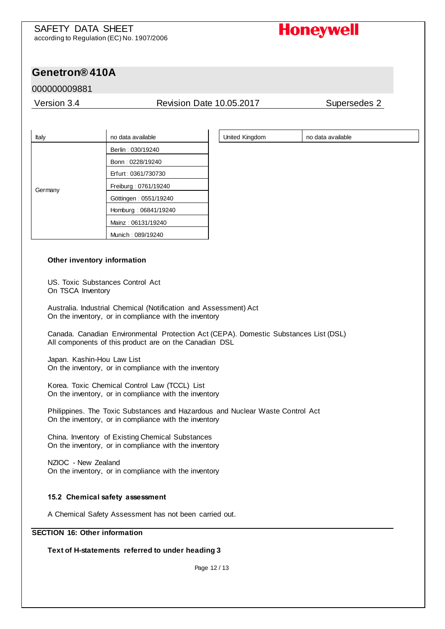United Kingdom | no data available

# **Genetron® 410A**

#### 000000009881

#### Version 3.4 Revision Date 10.05.2017 Supersedes 2

| Italy   | no data available     |  |
|---------|-----------------------|--|
| Germany | Berlin: 030/19240     |  |
|         | Bonn: 0228/19240      |  |
|         | Erfurt: 0361/730730   |  |
|         | Freiburg: 0761/19240  |  |
|         | Göttingen: 0551/19240 |  |
|         | Homburg: 06841/19240  |  |
|         | Mainz: 06131/19240    |  |
|         | Munich: 089/19240     |  |

#### **Other inventory information**

US. Toxic Substances Control Act On TSCA Inventory

Australia. Industrial Chemical (Notification and Assessment) Act On the inventory, or in compliance with the inventory

Canada. Canadian Environmental Protection Act (CEPA). Domestic Substances List (DSL) All components of this product are on the Canadian DSL

Japan. Kashin-Hou Law List On the inventory, or in compliance with the inventory

Korea. Toxic Chemical Control Law (TCCL) List On the inventory, or in compliance with the inventory

Philippines. The Toxic Substances and Hazardous and Nuclear Waste Control Act On the inventory, or in compliance with the inventory

China. Inventory of Existing Chemical Substances On the inventory, or in compliance with the inventory

NZIOC - New Zealand On the inventory, or in compliance with the inventory

#### **15.2 Chemical safety assessment**

A Chemical Safety Assessment has not been carried out.

#### **SECTION 16: Other information**

**Text of H-statements referred to under heading 3**

Page 12 / 13